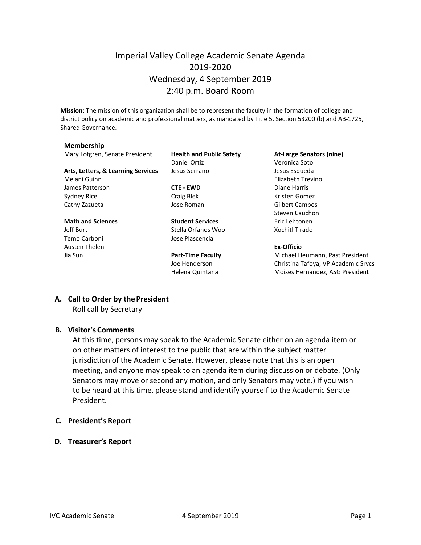# Imperial Valley College Academic Senate Agenda 2019-2020 Wednesday, 4 September 2019 2:40 p.m. Board Room

**Mission:** The mission of this organization shall be to represent the faculty in the formation of college and district policy on academic and professional matters, as mandated by Title 5, Section 53200 (b) and AB-1725, Shared Governance.

#### **Membership**

Mary Lofgren, Senate President **Health and Public Safety At-Large Senators (nine)**

Daniel Ortiz Veronica Soto **Arts, Letters, & Learning Services** Jesus Serrano Jesus Esqueda

**Math and Sciences Student Services** Eric Lehtonen Jeff Burt Stella Orfanos Woo Xochitl Tirado Temo Carboni Jose Plascencia

Melani Guinn Elizabeth Trevino James Patterson **CTE - EWD** Diane Harris Sydney Rice **Craig Blek** Craig Blek Craig Blek Kristen Gomez Cathy Zazueta Jose Roman Gilbert Campos Steven Cauchon

#### Austen Thelen **Ex-Officio**

Jia Sun **Part-Time Faculty** Michael Heumann, Past President Joe Henderson Christina Tafoya, VP Academic Srvcs Helena Quintana **Moises Hernandez**, ASG President

# **A. Call to Order by thePresident**

Roll call by Secretary

### **B. Visitor's Comments**

At this time, persons may speak to the Academic Senate either on an agenda item or on other matters of interest to the public that are within the subject matter jurisdiction of the Academic Senate. However, please note that this is an open meeting, and anyone may speak to an agenda item during discussion or debate. (Only Senators may move or second any motion, and only Senators may vote.) If you wish to be heard at this time, please stand and identify yourself to the Academic Senate President.

#### **C. President's Report**

**D. Treasurer's Report**